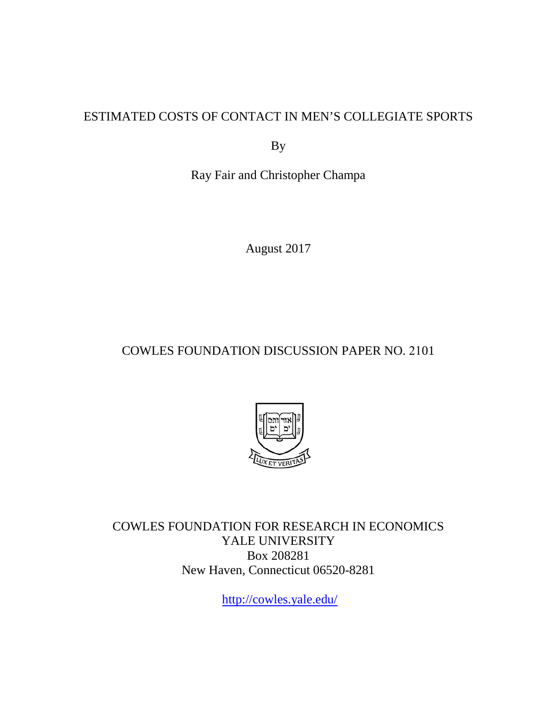## ESTIMATED COSTS OF CONTACT IN MEN'S COLLEGIATE SPORTS

By

Ray Fair and Christopher Champa

August 2017

COWLES FOUNDATION DISCUSSION PAPER NO. 2101



COWLES FOUNDATION FOR RESEARCH IN ECONOMICS YALE UNIVERSITY Box 208281 New Haven, Connecticut 06520-8281

<http://cowles.yale.edu/>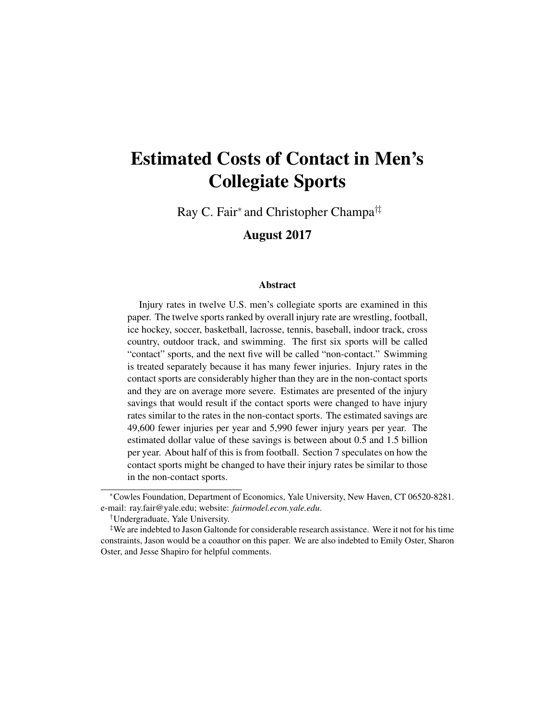# Estimated Costs of Contact in Men's Collegiate Sports

Ray C. Fair<sup>∗</sup> and Christopher Champa†‡

### August 2017

### Abstract

Injury rates in twelve U.S. men's collegiate sports are examined in this paper. The twelve sports ranked by overall injury rate are wrestling, football, ice hockey, soccer, basketball, lacrosse, tennis, baseball, indoor track, cross country, outdoor track, and swimming. The first six sports will be called "contact" sports, and the next five will be called "non-contact." Swimming is treated separately because it has many fewer injuries. Injury rates in the contact sports are considerably higher than they are in the non-contact sports and they are on average more severe. Estimates are presented of the injury savings that would result if the contact sports were changed to have injury rates similar to the rates in the non-contact sports. The estimated savings are 49,600 fewer injuries per year and 5,990 fewer injury years per year. The estimated dollar value of these savings is between about 0.5 and 1.5 billion per year. About half of this is from football. Section 7 speculates on how the contact sports might be changed to have their injury rates be similar to those in the non-contact sports.

<sup>∗</sup>Cowles Foundation, Department of Economics, Yale University, New Haven, CT 06520-8281. e-mail: ray.fair@yale.edu; website: *fairmodel.econ.yale.edu*.

<sup>†</sup>Undergraduate, Yale University.

<sup>‡</sup>We are indebted to Jason Galtonde for considerable research assistance. Were it not for his time constraints, Jason would be a coauthor on this paper. We are also indebted to Emily Oster, Sharon Oster, and Jesse Shapiro for helpful comments.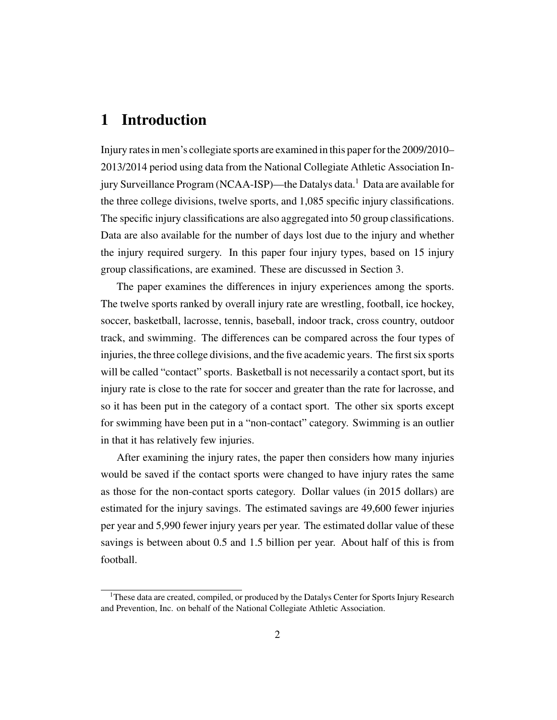## 1 Introduction

Injury rates in men's collegiate sports are examined in this paper for the 2009/2010– 2013/2014 period using data from the National Collegiate Athletic Association Injury Surveillance Program (NCAA-ISP)—the Datalys data.<sup>1</sup> Data are available for the three college divisions, twelve sports, and 1,085 specific injury classifications. The specific injury classifications are also aggregated into 50 group classifications. Data are also available for the number of days lost due to the injury and whether the injury required surgery. In this paper four injury types, based on 15 injury group classifications, are examined. These are discussed in Section 3.

The paper examines the differences in injury experiences among the sports. The twelve sports ranked by overall injury rate are wrestling, football, ice hockey, soccer, basketball, lacrosse, tennis, baseball, indoor track, cross country, outdoor track, and swimming. The differences can be compared across the four types of injuries, the three college divisions, and the five academic years. The first six sports will be called "contact" sports. Basketball is not necessarily a contact sport, but its injury rate is close to the rate for soccer and greater than the rate for lacrosse, and so it has been put in the category of a contact sport. The other six sports except for swimming have been put in a "non-contact" category. Swimming is an outlier in that it has relatively few injuries.

After examining the injury rates, the paper then considers how many injuries would be saved if the contact sports were changed to have injury rates the same as those for the non-contact sports category. Dollar values (in 2015 dollars) are estimated for the injury savings. The estimated savings are 49,600 fewer injuries per year and 5,990 fewer injury years per year. The estimated dollar value of these savings is between about 0.5 and 1.5 billion per year. About half of this is from football.

<sup>&</sup>lt;sup>1</sup>These data are created, compiled, or produced by the Datalys Center for Sports Injury Research and Prevention, Inc. on behalf of the National Collegiate Athletic Association.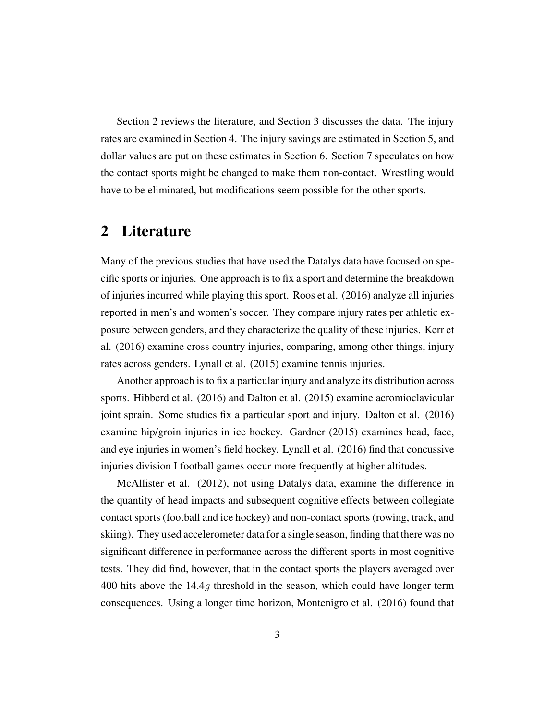Section 2 reviews the literature, and Section 3 discusses the data. The injury rates are examined in Section 4. The injury savings are estimated in Section 5, and dollar values are put on these estimates in Section 6. Section 7 speculates on how the contact sports might be changed to make them non-contact. Wrestling would have to be eliminated, but modifications seem possible for the other sports.

## 2 Literature

Many of the previous studies that have used the Datalys data have focused on specific sports or injuries. One approach is to fix a sport and determine the breakdown of injuries incurred while playing this sport. Roos et al. (2016) analyze all injuries reported in men's and women's soccer. They compare injury rates per athletic exposure between genders, and they characterize the quality of these injuries. Kerr et al. (2016) examine cross country injuries, comparing, among other things, injury rates across genders. Lynall et al. (2015) examine tennis injuries.

Another approach is to fix a particular injury and analyze its distribution across sports. Hibberd et al. (2016) and Dalton et al. (2015) examine acromioclavicular joint sprain. Some studies fix a particular sport and injury. Dalton et al. (2016) examine hip/groin injuries in ice hockey. Gardner (2015) examines head, face, and eye injuries in women's field hockey. Lynall et al. (2016) find that concussive injuries division I football games occur more frequently at higher altitudes.

McAllister et al. (2012), not using Datalys data, examine the difference in the quantity of head impacts and subsequent cognitive effects between collegiate contact sports (football and ice hockey) and non-contact sports (rowing, track, and skiing). They used accelerometer data for a single season, finding that there was no significant difference in performance across the different sports in most cognitive tests. They did find, however, that in the contact sports the players averaged over 400 hits above the 14.4g threshold in the season, which could have longer term consequences. Using a longer time horizon, Montenigro et al. (2016) found that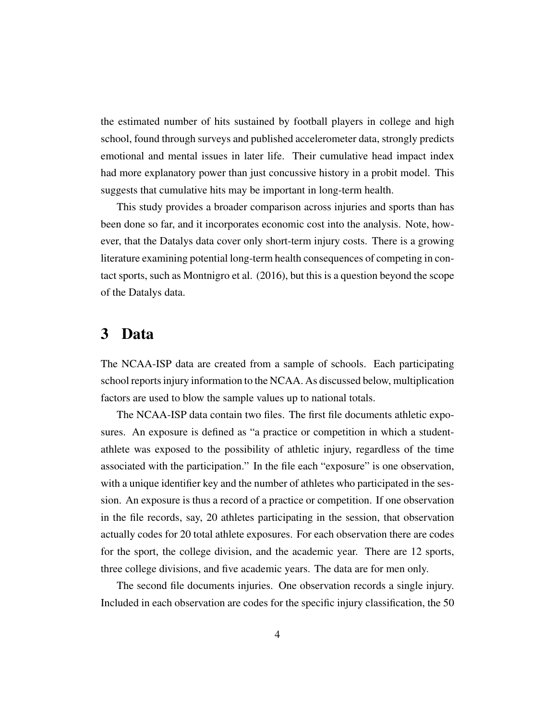the estimated number of hits sustained by football players in college and high school, found through surveys and published accelerometer data, strongly predicts emotional and mental issues in later life. Their cumulative head impact index had more explanatory power than just concussive history in a probit model. This suggests that cumulative hits may be important in long-term health.

This study provides a broader comparison across injuries and sports than has been done so far, and it incorporates economic cost into the analysis. Note, however, that the Datalys data cover only short-term injury costs. There is a growing literature examining potential long-term health consequences of competing in contact sports, such as Montnigro et al. (2016), but this is a question beyond the scope of the Datalys data.

### 3 Data

The NCAA-ISP data are created from a sample of schools. Each participating school reports injury information to the NCAA. As discussed below, multiplication factors are used to blow the sample values up to national totals.

The NCAA-ISP data contain two files. The first file documents athletic exposures. An exposure is defined as "a practice or competition in which a studentathlete was exposed to the possibility of athletic injury, regardless of the time associated with the participation." In the file each "exposure" is one observation, with a unique identifier key and the number of athletes who participated in the session. An exposure is thus a record of a practice or competition. If one observation in the file records, say, 20 athletes participating in the session, that observation actually codes for 20 total athlete exposures. For each observation there are codes for the sport, the college division, and the academic year. There are 12 sports, three college divisions, and five academic years. The data are for men only.

The second file documents injuries. One observation records a single injury. Included in each observation are codes for the specific injury classification, the 50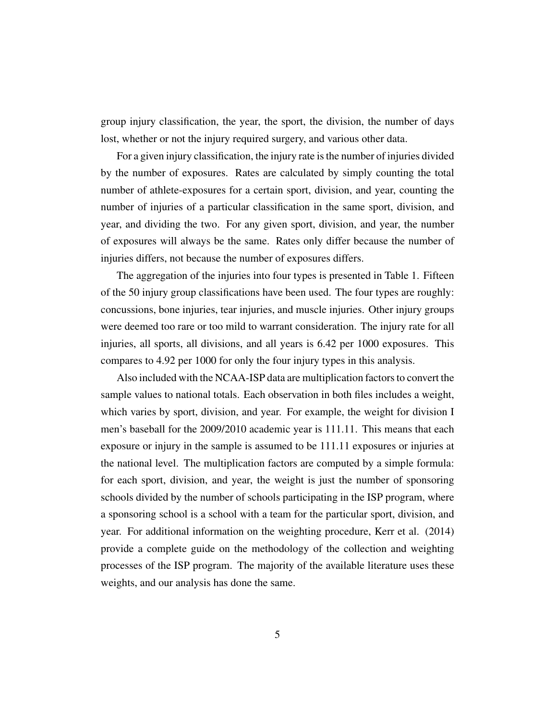group injury classification, the year, the sport, the division, the number of days lost, whether or not the injury required surgery, and various other data.

For a given injury classification, the injury rate is the number of injuries divided by the number of exposures. Rates are calculated by simply counting the total number of athlete-exposures for a certain sport, division, and year, counting the number of injuries of a particular classification in the same sport, division, and year, and dividing the two. For any given sport, division, and year, the number of exposures will always be the same. Rates only differ because the number of injuries differs, not because the number of exposures differs.

The aggregation of the injuries into four types is presented in Table 1. Fifteen of the 50 injury group classifications have been used. The four types are roughly: concussions, bone injuries, tear injuries, and muscle injuries. Other injury groups were deemed too rare or too mild to warrant consideration. The injury rate for all injuries, all sports, all divisions, and all years is 6.42 per 1000 exposures. This compares to 4.92 per 1000 for only the four injury types in this analysis.

Also included with the NCAA-ISP data are multiplication factors to convert the sample values to national totals. Each observation in both files includes a weight, which varies by sport, division, and year. For example, the weight for division I men's baseball for the 2009/2010 academic year is 111.11. This means that each exposure or injury in the sample is assumed to be 111.11 exposures or injuries at the national level. The multiplication factors are computed by a simple formula: for each sport, division, and year, the weight is just the number of sponsoring schools divided by the number of schools participating in the ISP program, where a sponsoring school is a school with a team for the particular sport, division, and year. For additional information on the weighting procedure, Kerr et al. (2014) provide a complete guide on the methodology of the collection and weighting processes of the ISP program. The majority of the available literature uses these weights, and our analysis has done the same.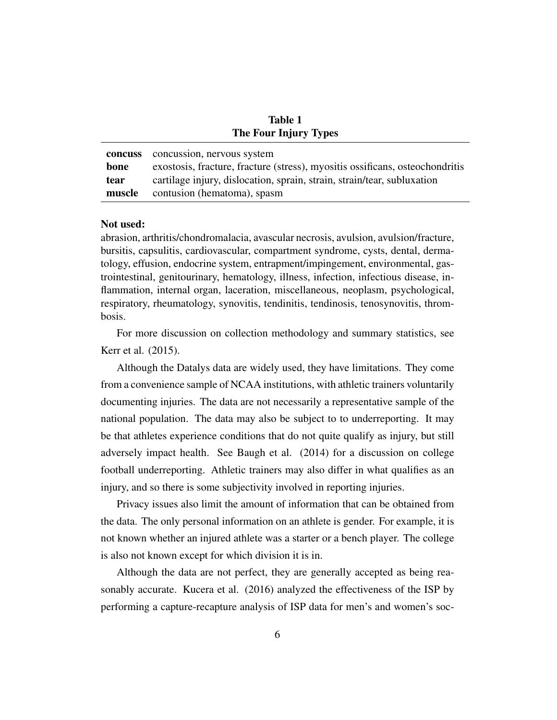|         | The Four Injury Types                                                        |
|---------|------------------------------------------------------------------------------|
| concuss | concussion, nervous system                                                   |
| bone    | exostosis, fracture, fracture (stress), myositis ossificans, osteochondritis |
| tear    | cartilage injury, dislocation, sprain, strain, strain/tear, subluxation      |
| muscle  | contusion (hematoma), spasm                                                  |

### Table 1 The Four Injury Types

### Not used:

abrasion, arthritis/chondromalacia, avascular necrosis, avulsion, avulsion/fracture, bursitis, capsulitis, cardiovascular, compartment syndrome, cysts, dental, dermatology, effusion, endocrine system, entrapment/impingement, environmental, gastrointestinal, genitourinary, hematology, illness, infection, infectious disease, inflammation, internal organ, laceration, miscellaneous, neoplasm, psychological, respiratory, rheumatology, synovitis, tendinitis, tendinosis, tenosynovitis, thrombosis.

For more discussion on collection methodology and summary statistics, see Kerr et al. (2015).

Although the Datalys data are widely used, they have limitations. They come from a convenience sample of NCAA institutions, with athletic trainers voluntarily documenting injuries. The data are not necessarily a representative sample of the national population. The data may also be subject to to underreporting. It may be that athletes experience conditions that do not quite qualify as injury, but still adversely impact health. See Baugh et al. (2014) for a discussion on college football underreporting. Athletic trainers may also differ in what qualifies as an injury, and so there is some subjectivity involved in reporting injuries.

Privacy issues also limit the amount of information that can be obtained from the data. The only personal information on an athlete is gender. For example, it is not known whether an injured athlete was a starter or a bench player. The college is also not known except for which division it is in.

Although the data are not perfect, they are generally accepted as being reasonably accurate. Kucera et al. (2016) analyzed the effectiveness of the ISP by performing a capture-recapture analysis of ISP data for men's and women's soc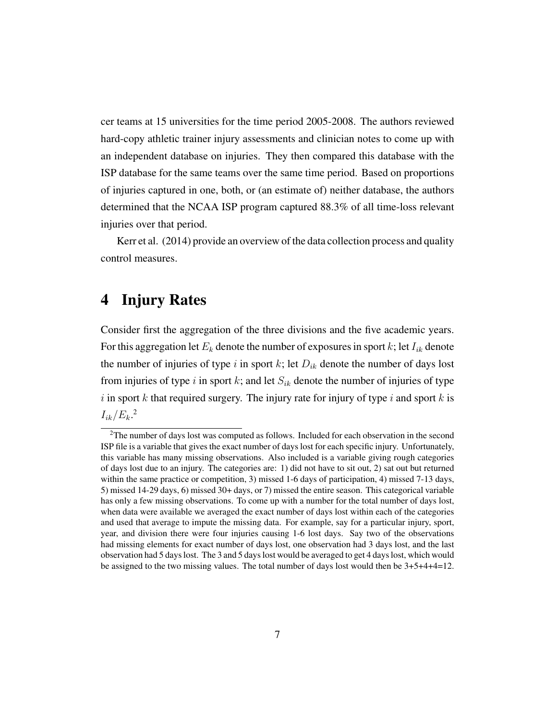cer teams at 15 universities for the time period 2005-2008. The authors reviewed hard-copy athletic trainer injury assessments and clinician notes to come up with an independent database on injuries. They then compared this database with the ISP database for the same teams over the same time period. Based on proportions of injuries captured in one, both, or (an estimate of) neither database, the authors determined that the NCAA ISP program captured 88.3% of all time-loss relevant injuries over that period.

Kerr et al. (2014) provide an overview of the data collection process and quality control measures.

## 4 Injury Rates

Consider first the aggregation of the three divisions and the five academic years. For this aggregation let  $E_k$  denote the number of exposures in sport k; let  $I_{ik}$  denote the number of injuries of type i in sport k; let  $D_{ik}$  denote the number of days lost from injuries of type i in sport k; and let  $S_{ik}$  denote the number of injuries of type i in sport k that required surgery. The injury rate for injury of type i and sport k is  $I_{ik}/E_k$ .<sup>2</sup>

<sup>&</sup>lt;sup>2</sup>The number of days lost was computed as follows. Included for each observation in the second ISP file is a variable that gives the exact number of days lost for each specific injury. Unfortunately, this variable has many missing observations. Also included is a variable giving rough categories of days lost due to an injury. The categories are: 1) did not have to sit out, 2) sat out but returned within the same practice or competition, 3) missed 1-6 days of participation, 4) missed 7-13 days, 5) missed 14-29 days, 6) missed 30+ days, or 7) missed the entire season. This categorical variable has only a few missing observations. To come up with a number for the total number of days lost, when data were available we averaged the exact number of days lost within each of the categories and used that average to impute the missing data. For example, say for a particular injury, sport, year, and division there were four injuries causing 1-6 lost days. Say two of the observations had missing elements for exact number of days lost, one observation had 3 days lost, and the last observation had 5 days lost. The 3 and 5 days lost would be averaged to get 4 days lost, which would be assigned to the two missing values. The total number of days lost would then be 3+5+4+4=12.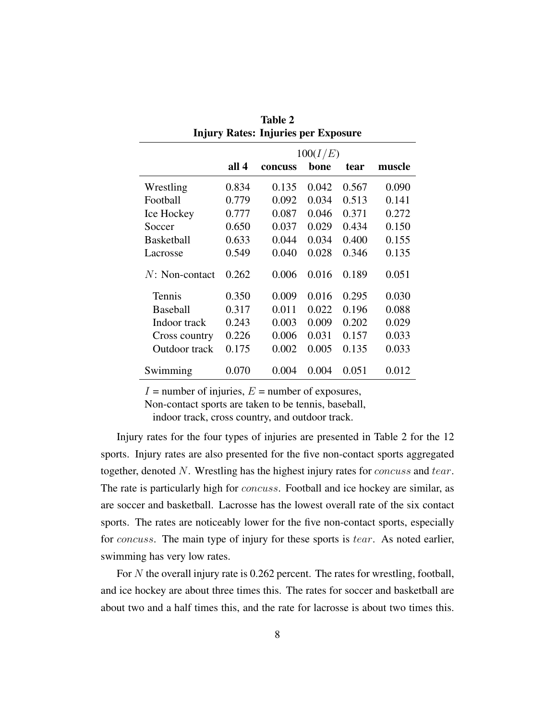| Injury Rates: Injuries per Exposure |       |         |          |       |        |  |  |
|-------------------------------------|-------|---------|----------|-------|--------|--|--|
|                                     |       |         | 100(I/E) |       |        |  |  |
|                                     | all 4 | concuss | bone     | tear  | muscle |  |  |
| Wrestling                           | 0.834 | 0.135   | 0.042    | 0.567 | 0.090  |  |  |
| Football                            | 0.779 | 0.092   | 0.034    | 0.513 | 0.141  |  |  |
| Ice Hockey                          | 0.777 | 0.087   | 0.046    | 0.371 | 0.272  |  |  |
| Soccer                              | 0.650 | 0.037   | 0.029    | 0.434 | 0.150  |  |  |
| <b>Basketball</b>                   | 0.633 | 0.044   | 0.034    | 0.400 | 0.155  |  |  |
| Lacrosse                            | 0.549 | 0.040   | 0.028    | 0.346 | 0.135  |  |  |
| $N: Non-contact$                    | 0.262 | 0.006   | 0.016    | 0.189 | 0.051  |  |  |
| Tennis                              | 0.350 | 0.009   | 0.016    | 0.295 | 0.030  |  |  |
| <b>Baseball</b>                     | 0.317 | 0.011   | 0.022    | 0.196 | 0.088  |  |  |
| Indoor track                        | 0.243 | 0.003   | 0.009    | 0.202 | 0.029  |  |  |
| Cross country                       | 0.226 | 0.006   | 0.031    | 0.157 | 0.033  |  |  |
| <b>Outdoor</b> track                | 0.175 | 0.002   | 0.005    | 0.135 | 0.033  |  |  |
| Swimming                            | 0.070 | 0.004   | 0.004    | 0.051 | 0.012  |  |  |

Table 2 Injury Rates: Injuries per Exposure

 $I =$  number of injuries,  $E =$  number of exposures,

Non-contact sports are taken to be tennis, baseball,

indoor track, cross country, and outdoor track.

Injury rates for the four types of injuries are presented in Table 2 for the 12 sports. Injury rates are also presented for the five non-contact sports aggregated together, denoted N. Wrestling has the highest injury rates for concuss and tear. The rate is particularly high for concuss. Football and ice hockey are similar, as are soccer and basketball. Lacrosse has the lowest overall rate of the six contact sports. The rates are noticeably lower for the five non-contact sports, especially for *concuss*. The main type of injury for these sports is *tear*. As noted earlier, swimming has very low rates.

For N the overall injury rate is 0.262 percent. The rates for wrestling, football, and ice hockey are about three times this. The rates for soccer and basketball are about two and a half times this, and the rate for lacrosse is about two times this.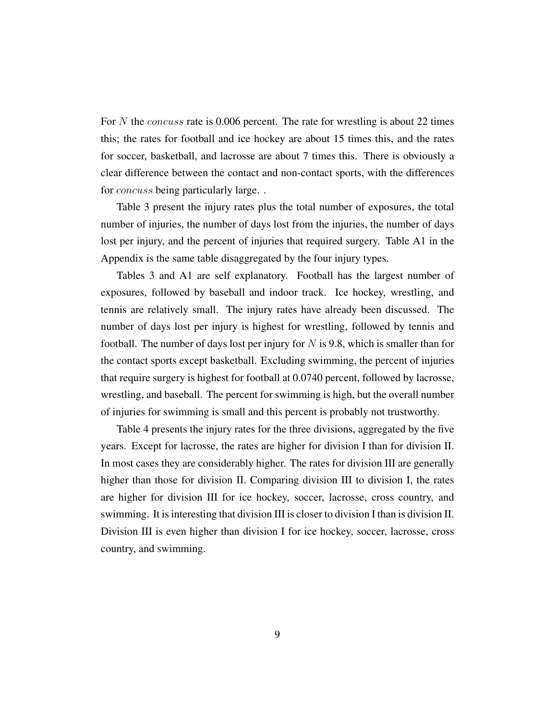For N the *concuss* rate is 0.006 percent. The rate for wrestling is about 22 times this; the rates for football and ice hockey are about 15 times this, and the rates for soccer, basketball, and lacrosse are about 7 times this. There is obviously a clear difference between the contact and non-contact sports, with the differences for *concuss* being particularly large...

Table 3 present the injury rates plus the total number of exposures, the total number of injuries, the number of days lost from the injuries, the number of days lost per injury, and the percent of injuries that required surgery. Table A1 in the Appendix is the same table disaggregated by the four injury types.

Tables 3 and A1 are self explanatory. Football has the largest number of exposures, followed by baseball and indoor track. Ice hockey, wrestling, and tennis are relatively small. The injury rates have already been discussed. The number of days lost per injury is highest for wrestling, followed by tennis and football. The number of days lost per injury for  $N$  is 9.8, which is smaller than for the contact sports except basketball. Excluding swimming, the percent of injuries that require surgery is highest for football at 0.0740 percent, followed by lacrosse, wrestling, and baseball. The percent for swimming is high, but the overall number of injuries for swimming is small and this percent is probably not trustworthy.

Table 4 presents the injury rates for the three divisions, aggregated by the five years. Except for lacrosse, the rates are higher for division I than for division II. In most cases they are considerably higher. The rates for division III are generally higher than those for division II. Comparing division III to division I, the rates are higher for division III for ice hockey, soccer, lacrosse, cross country, and swimming. It is interesting that division III is closer to division I than is division II. Division III is even higher than division I for ice hockey, soccer, lacrosse, cross country, and swimming.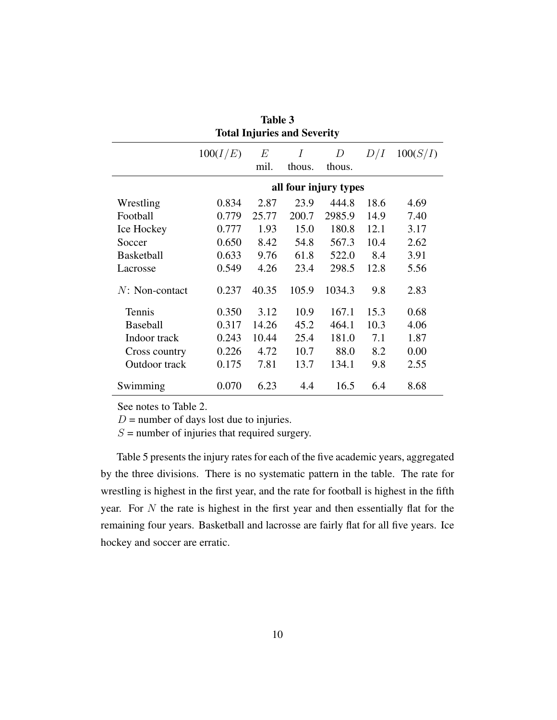| <b>Table 3</b>    |          |           |                                    |                       |      |          |  |
|-------------------|----------|-----------|------------------------------------|-----------------------|------|----------|--|
|                   |          |           | <b>Total Injuries and Severity</b> |                       |      |          |  |
|                   | 100(I/E) | E<br>mil. | Ι<br>thous.                        | D<br>thous.           | D/I  | 100(S/I) |  |
|                   |          |           |                                    | all four injury types |      |          |  |
| Wrestling         | 0.834    | 2.87      | 23.9                               | 444.8                 | 18.6 | 4.69     |  |
| Football          | 0.779    | 25.77     | 200.7                              | 2985.9                | 14.9 | 7.40     |  |
| Ice Hockey        | 0.777    | 1.93      | 15.0                               | 180.8                 | 12.1 | 3.17     |  |
| Soccer            | 0.650    | 8.42      | 54.8                               | 567.3                 | 10.4 | 2.62     |  |
| <b>Basketball</b> | 0.633    | 9.76      | 61.8                               | 522.0                 | 8.4  | 3.91     |  |
| Lacrosse          | 0.549    | 4.26      | 23.4                               | 298.5                 | 12.8 | 5.56     |  |
| $N: Non-contact$  | 0.237    | 40.35     | 105.9                              | 1034.3                | 9.8  | 2.83     |  |
| Tennis            | 0.350    | 3.12      | 10.9                               | 167.1                 | 15.3 | 0.68     |  |
| <b>Baseball</b>   | 0.317    | 14.26     | 45.2                               | 464.1                 | 10.3 | 4.06     |  |
| Indoor track      | 0.243    | 10.44     | 25.4                               | 181.0                 | 7.1  | 1.87     |  |
| Cross country     | 0.226    | 4.72      | 10.7                               | 88.0                  | 8.2  | 0.00     |  |
| Outdoor track     | 0.175    | 7.81      | 13.7                               | 134.1                 | 9.8  | 2.55     |  |
| Swimming          | 0.070    | 6.23      | 4.4                                | 16.5                  | 6.4  | 8.68     |  |

See notes to Table 2.

 $D$  = number of days lost due to injuries.

 $S =$  number of injuries that required surgery.

Table 5 presents the injury rates for each of the five academic years, aggregated by the three divisions. There is no systematic pattern in the table. The rate for wrestling is highest in the first year, and the rate for football is highest in the fifth year. For N the rate is highest in the first year and then essentially flat for the remaining four years. Basketball and lacrosse are fairly flat for all five years. Ice hockey and soccer are erratic.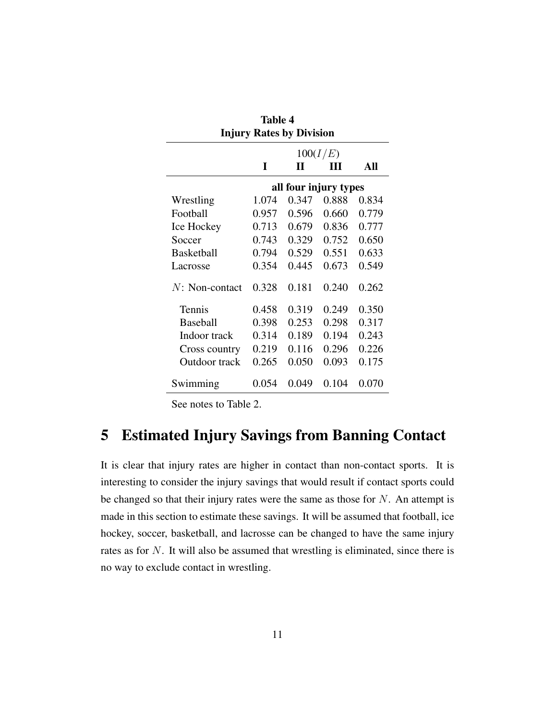| Table 4<br><b>Injury Rates by Division</b> |       |                       |          |       |  |  |
|--------------------------------------------|-------|-----------------------|----------|-------|--|--|
|                                            |       |                       | 100(I/E) |       |  |  |
|                                            | I     | $\mathbf H$           | ш        | All   |  |  |
|                                            |       | all four injury types |          |       |  |  |
| Wrestling                                  | 1.074 | 0.347                 | 0.888    | 0.834 |  |  |
| Football                                   | 0.957 | 0.596                 | 0.660    | 0.779 |  |  |
| Ice Hockey                                 | 0.713 | 0.679                 | 0.836    | 0.777 |  |  |
| Soccer                                     | 0.743 | 0.329                 | 0.752    | 0.650 |  |  |
| <b>Basketball</b>                          | 0.794 | 0.529                 | 0.551    | 0.633 |  |  |
| Lacrosse                                   | 0.354 | 0.445                 | 0.673    | 0.549 |  |  |
| $N:$ Non-contact                           | 0.328 | 0.181                 | 0.240    | 0.262 |  |  |
| Tennis                                     | 0.458 | 0.319                 | 0.249    | 0.350 |  |  |
| <b>Baseball</b>                            | 0.398 | 0.253                 | 0.298    | 0.317 |  |  |
| Indoor track                               | 0.314 | 0.189                 | 0.194    | 0.243 |  |  |
| Cross country                              | 0.219 | 0.116                 | 0.296    | 0.226 |  |  |
| Outdoor track                              | 0.265 | 0.050                 | 0.093    | 0.175 |  |  |
| Swimming                                   | 0.054 | 0.049                 | 0.104    | 0.070 |  |  |

See notes to Table 2.

## 5 Estimated Injury Savings from Banning Contact

It is clear that injury rates are higher in contact than non-contact sports. It is interesting to consider the injury savings that would result if contact sports could be changed so that their injury rates were the same as those for  $N$ . An attempt is made in this section to estimate these savings. It will be assumed that football, ice hockey, soccer, basketball, and lacrosse can be changed to have the same injury rates as for N. It will also be assumed that wrestling is eliminated, since there is no way to exclude contact in wrestling.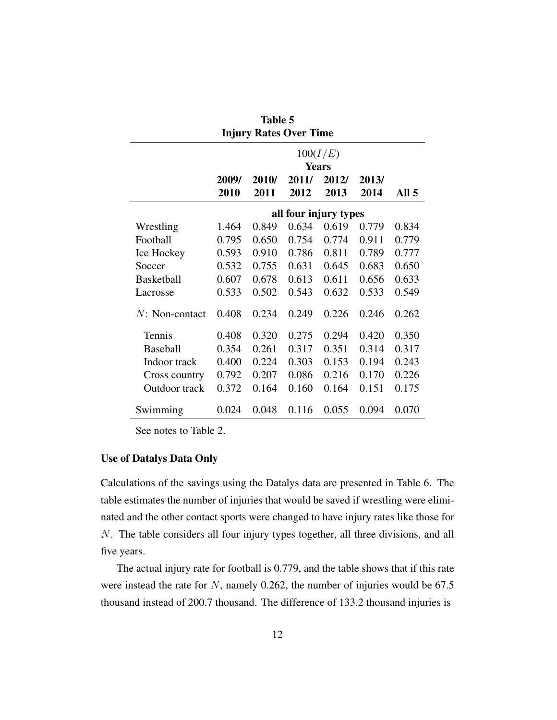| Table 5           |       |       |                               |                       |       |       |
|-------------------|-------|-------|-------------------------------|-----------------------|-------|-------|
|                   |       |       | <b>Injury Rates Over Time</b> |                       |       |       |
|                   |       |       |                               | 100(I/E)              |       |       |
|                   |       |       |                               | <b>Years</b>          |       |       |
|                   | 2009/ | 2010/ | 2011/                         | 2012/                 | 2013/ |       |
|                   | 2010  | 2011  | 2012                          | 2013                  | 2014  | All 5 |
|                   |       |       |                               | all four injury types |       |       |
| Wrestling         | 1.464 | 0.849 | 0.634                         | 0.619                 | 0.779 | 0.834 |
| Football          | 0.795 | 0.650 | 0.754                         | 0.774                 | 0.911 | 0.779 |
| Ice Hockey        | 0.593 | 0.910 | 0.786                         | 0.811                 | 0.789 | 0.777 |
| Soccer            | 0.532 | 0.755 | 0.631                         | 0.645                 | 0.683 | 0.650 |
| <b>Basketball</b> | 0.607 | 0.678 | 0.613                         | 0.611                 | 0.656 | 0.633 |
| Lacrosse          | 0.533 | 0.502 | 0.543                         | 0.632                 | 0.533 | 0.549 |
| $N: Non-contract$ | 0.408 | 0.234 | 0.249                         | 0.226                 | 0.246 | 0.262 |
| Tennis            | 0.408 | 0.320 | 0.275                         | 0.294                 | 0.420 | 0.350 |
| Baseball          | 0.354 | 0.261 | 0.317                         | 0.351                 | 0.314 | 0.317 |
| Indoor track      | 0.400 | 0.224 | 0.303                         | 0.153                 | 0.194 | 0.243 |
| Cross country     | 0.792 | 0.207 | 0.086                         | 0.216                 | 0.170 | 0.226 |
| Outdoor track     | 0.372 | 0.164 | 0.160                         | 0.164                 | 0.151 | 0.175 |
| Swimming          | 0.024 | 0.048 | 0.116                         | 0.055                 | 0.094 | 0.070 |

See notes to Table 2.

### Use of Datalys Data Only

Calculations of the savings using the Datalys data are presented in Table 6. The table estimates the number of injuries that would be saved if wrestling were eliminated and the other contact sports were changed to have injury rates like those for N. The table considers all four injury types together, all three divisions, and all five years.

The actual injury rate for football is 0.779, and the table shows that if this rate were instead the rate for  $N$ , namely 0.262, the number of injuries would be 67.5 thousand instead of 200.7 thousand. The difference of 133.2 thousand injuries is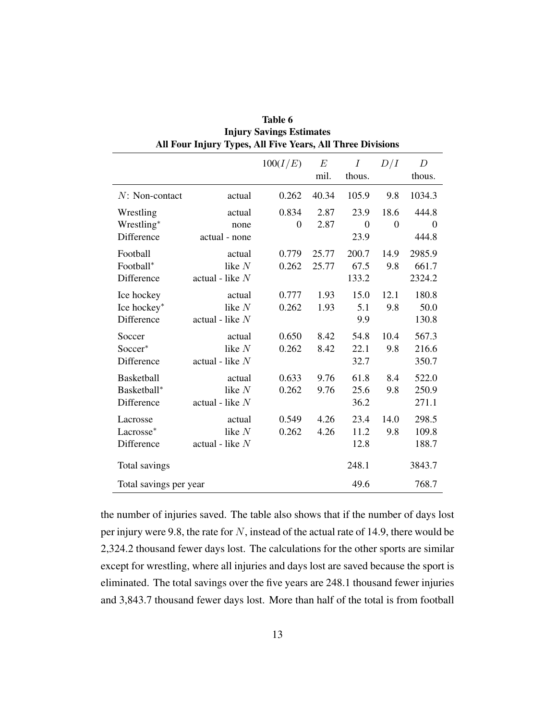|                                                |                                         | 100(I/E)                | $E\,$<br>mil.  | $\boldsymbol{I}$<br>thous.   | D/I                    | $\boldsymbol{D}$<br>thous.       |
|------------------------------------------------|-----------------------------------------|-------------------------|----------------|------------------------------|------------------------|----------------------------------|
| $N: Non-contact$                               | actual                                  | 0.262                   | 40.34          | 105.9                        | 9.8                    | 1034.3                           |
| Wrestling<br>Wrestling*<br>Difference          | actual<br>none<br>actual - none         | 0.834<br>$\overline{0}$ | 2.87<br>2.87   | 23.9<br>$\mathbf{0}$<br>23.9 | 18.6<br>$\overline{0}$ | 444.8<br>$\overline{0}$<br>444.8 |
| Football<br>Football*<br>Difference            | actual<br>like $N$<br>actual - like $N$ | 0.779<br>0.262          | 25.77<br>25.77 | 200.7<br>67.5<br>133.2       | 14.9<br>9.8            | 2985.9<br>661.7<br>2324.2        |
| Ice hockey<br>Ice hockey*<br>Difference        | actual<br>like $N$<br>actual - like $N$ | 0.777<br>0.262          | 1.93<br>1.93   | 15.0<br>5.1<br>9.9           | 12.1<br>9.8            | 180.8<br>50.0<br>130.8           |
| Soccer<br>Soccer*<br>Difference                | actual<br>like $N$<br>actual - like $N$ | 0.650<br>0.262          | 8.42<br>8.42   | 54.8<br>22.1<br>32.7         | 10.4<br>9.8            | 567.3<br>216.6<br>350.7          |
| <b>Basketball</b><br>Basketball*<br>Difference | actual<br>like $N$<br>actual - like $N$ | 0.633<br>0.262          | 9.76<br>9.76   | 61.8<br>25.6<br>36.2         | 8.4<br>9.8             | 522.0<br>250.9<br>271.1          |
| Lacrosse<br>Lacrosse*<br>Difference            | actual<br>like $N$<br>actual - like $N$ | 0.549<br>0.262          | 4.26<br>4.26   | 23.4<br>11.2<br>12.8         | 14.0<br>9.8            | 298.5<br>109.8<br>188.7          |
| Total savings                                  |                                         |                         |                | 248.1                        |                        | 3843.7                           |
| Total savings per year                         |                                         |                         |                | 49.6                         |                        | 768.7                            |

Table 6 Injury Savings Estimates All Four Injury Types, All Five Years, All Three Divisions

the number of injuries saved. The table also shows that if the number of days lost per injury were 9.8, the rate for N, instead of the actual rate of 14.9, there would be 2,324.2 thousand fewer days lost. The calculations for the other sports are similar except for wrestling, where all injuries and days lost are saved because the sport is eliminated. The total savings over the five years are 248.1 thousand fewer injuries and 3,843.7 thousand fewer days lost. More than half of the total is from football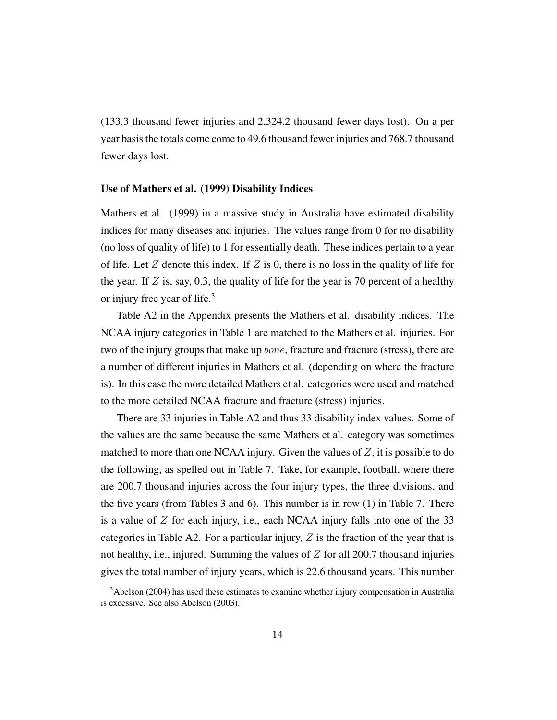(133.3 thousand fewer injuries and 2,324.2 thousand fewer days lost). On a per year basis the totals come come to 49.6 thousand fewer injuries and 768.7 thousand fewer days lost.

#### Use of Mathers et al. (1999) Disability Indices

Mathers et al. (1999) in a massive study in Australia have estimated disability indices for many diseases and injuries. The values range from 0 for no disability (no loss of quality of life) to 1 for essentially death. These indices pertain to a year of life. Let  $Z$  denote this index. If  $Z$  is 0, there is no loss in the quality of life for the year. If  $Z$  is, say, 0.3, the quality of life for the year is 70 percent of a healthy or injury free year of life.<sup>3</sup>

Table A2 in the Appendix presents the Mathers et al. disability indices. The NCAA injury categories in Table 1 are matched to the Mathers et al. injuries. For two of the injury groups that make up *bone*, fracture and fracture (stress), there are a number of different injuries in Mathers et al. (depending on where the fracture is). In this case the more detailed Mathers et al. categories were used and matched to the more detailed NCAA fracture and fracture (stress) injuries.

There are 33 injuries in Table A2 and thus 33 disability index values. Some of the values are the same because the same Mathers et al. category was sometimes matched to more than one NCAA injury. Given the values of  $Z$ , it is possible to do the following, as spelled out in Table 7. Take, for example, football, where there are 200.7 thousand injuries across the four injury types, the three divisions, and the five years (from Tables 3 and 6). This number is in row (1) in Table 7. There is a value of  $Z$  for each injury, i.e., each NCAA injury falls into one of the 33 categories in Table A2. For a particular injury,  $Z$  is the fraction of the year that is not healthy, i.e., injured. Summing the values of  $Z$  for all 200.7 thousand injuries gives the total number of injury years, which is 22.6 thousand years. This number

<sup>3</sup>Abelson (2004) has used these estimates to examine whether injury compensation in Australia is excessive. See also Abelson (2003).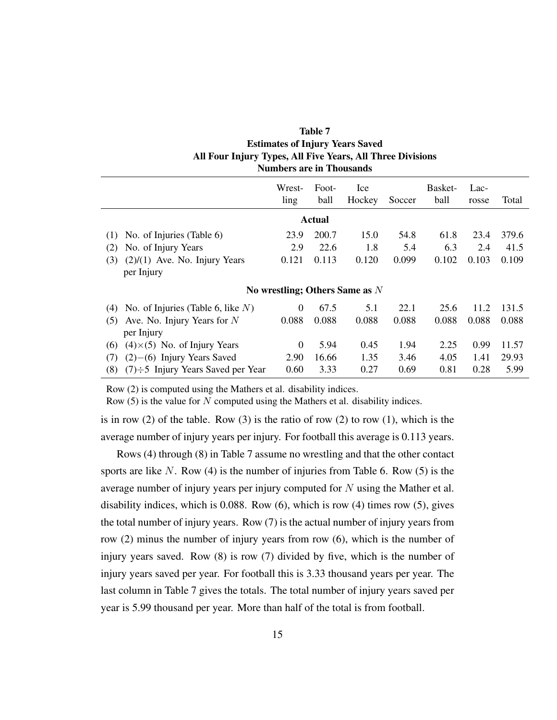| <b>Table 7</b>                                             |
|------------------------------------------------------------|
| <b>Estimates of Injury Years Saved</b>                     |
| All Four Injury Types, All Five Years, All Three Divisions |
| <b>Numbers are in Thousands</b>                            |

|     |                                          | Wrest-<br>ling | Foot-<br>ball | Ice<br>Hockey                    | Soccer | Basket-<br>ball | Lac-<br>rosse | Total |
|-----|------------------------------------------|----------------|---------------|----------------------------------|--------|-----------------|---------------|-------|
|     |                                          |                | Actual        |                                  |        |                 |               |       |
| (1) | No. of Injuries (Table 6)                | 23.9           | 200.7         | 15.0                             | 54.8   | 61.8            | 23.4          | 379.6 |
| (2) | No. of Injury Years                      | 2.9            | 22.6          | 1.8                              | 5.4    | 6.3             | 2.4           | 41.5  |
| (3) | $(2)/(1)$ Ave. No. Injury Years          | 0.121          | 0.113         | 0.120                            | 0.099  | 0.102           | 0.103         | 0.109 |
|     | per Injury                               |                |               |                                  |        |                 |               |       |
|     |                                          |                |               | No wrestling; Others Same as $N$ |        |                 |               |       |
| (4) | No. of Injuries (Table 6, like $N$ )     | $\Omega$       | 67.5          | 5.1                              | 22.1   | 25.6            | 11.2          | 131.5 |
| (5) | Ave. No. Injury Years for $N$            | 0.088          | 0.088         | 0.088                            | 0.088  | 0.088           | 0.088         | 0.088 |
|     | per Injury                               |                |               |                                  |        |                 |               |       |
| (6) | $(4)\times(5)$ No. of Injury Years       | $\theta$       | 5.94          | 0.45                             | 1.94   | 2.25            | 0.99          | 11.57 |
| (7) | $(2)$ – $(6)$ Injury Years Saved         | 2.90           | 16.66         | 1.35                             | 3.46   | 4.05            | 1.41          | 29.93 |
| (8) | $(7) \div 5$ Injury Years Saved per Year | 0.60           | 3.33          | 0.27                             | 0.69   | 0.81            | 0.28          | 5.99  |

Row (2) is computed using the Mathers et al. disability indices.

Row  $(5)$  is the value for N computed using the Mathers et al. disability indices.

is in row  $(2)$  of the table. Row  $(3)$  is the ratio of row  $(2)$  to row  $(1)$ , which is the average number of injury years per injury. For football this average is 0.113 years.

Rows (4) through (8) in Table 7 assume no wrestling and that the other contact sports are like N. Row (4) is the number of injuries from Table 6. Row (5) is the average number of injury years per injury computed for  $N$  using the Mather et al. disability indices, which is 0.088. Row (6), which is row (4) times row (5), gives the total number of injury years. Row (7) is the actual number of injury years from row (2) minus the number of injury years from row (6), which is the number of injury years saved. Row (8) is row (7) divided by five, which is the number of injury years saved per year. For football this is 3.33 thousand years per year. The last column in Table 7 gives the totals. The total number of injury years saved per year is 5.99 thousand per year. More than half of the total is from football.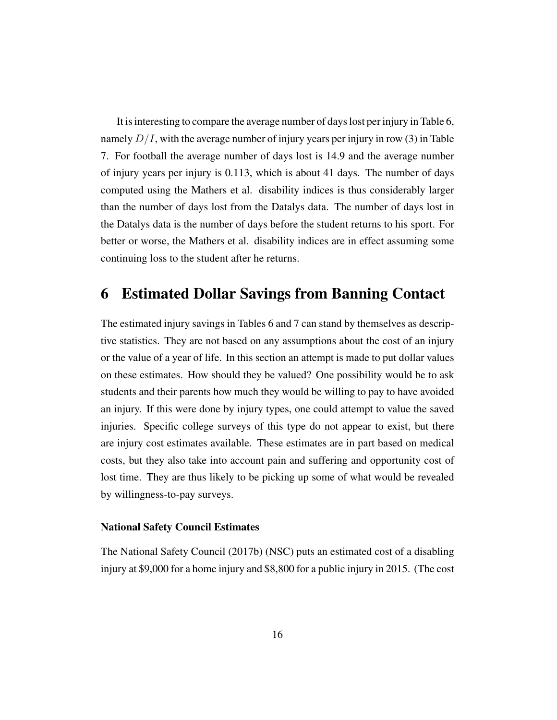It is interesting to compare the average number of days lost per injury in Table 6, namely  $D/I$ , with the average number of injury years per injury in row (3) in Table 7. For football the average number of days lost is 14.9 and the average number of injury years per injury is 0.113, which is about 41 days. The number of days computed using the Mathers et al. disability indices is thus considerably larger than the number of days lost from the Datalys data. The number of days lost in the Datalys data is the number of days before the student returns to his sport. For better or worse, the Mathers et al. disability indices are in effect assuming some continuing loss to the student after he returns.

## 6 Estimated Dollar Savings from Banning Contact

The estimated injury savings in Tables 6 and 7 can stand by themselves as descriptive statistics. They are not based on any assumptions about the cost of an injury or the value of a year of life. In this section an attempt is made to put dollar values on these estimates. How should they be valued? One possibility would be to ask students and their parents how much they would be willing to pay to have avoided an injury. If this were done by injury types, one could attempt to value the saved injuries. Specific college surveys of this type do not appear to exist, but there are injury cost estimates available. These estimates are in part based on medical costs, but they also take into account pain and suffering and opportunity cost of lost time. They are thus likely to be picking up some of what would be revealed by willingness-to-pay surveys.

### National Safety Council Estimates

The National Safety Council (2017b) (NSC) puts an estimated cost of a disabling injury at \$9,000 for a home injury and \$8,800 for a public injury in 2015. (The cost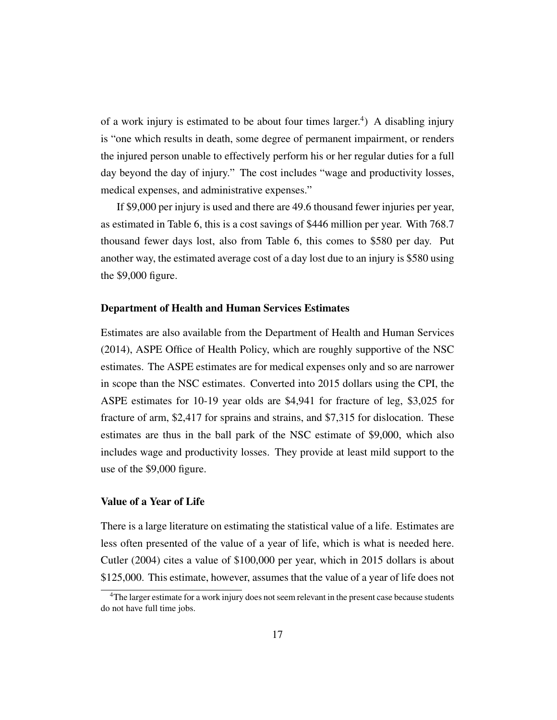of a work injury is estimated to be about four times larger.<sup>4</sup>) A disabling injury is "one which results in death, some degree of permanent impairment, or renders the injured person unable to effectively perform his or her regular duties for a full day beyond the day of injury." The cost includes "wage and productivity losses, medical expenses, and administrative expenses."

If \$9,000 per injury is used and there are 49.6 thousand fewer injuries per year, as estimated in Table 6, this is a cost savings of \$446 million per year. With 768.7 thousand fewer days lost, also from Table 6, this comes to \$580 per day. Put another way, the estimated average cost of a day lost due to an injury is \$580 using the \$9,000 figure.

### Department of Health and Human Services Estimates

Estimates are also available from the Department of Health and Human Services (2014), ASPE Office of Health Policy, which are roughly supportive of the NSC estimates. The ASPE estimates are for medical expenses only and so are narrower in scope than the NSC estimates. Converted into 2015 dollars using the CPI, the ASPE estimates for 10-19 year olds are \$4,941 for fracture of leg, \$3,025 for fracture of arm, \$2,417 for sprains and strains, and \$7,315 for dislocation. These estimates are thus in the ball park of the NSC estimate of \$9,000, which also includes wage and productivity losses. They provide at least mild support to the use of the \$9,000 figure.

### Value of a Year of Life

There is a large literature on estimating the statistical value of a life. Estimates are less often presented of the value of a year of life, which is what is needed here. Cutler (2004) cites a value of \$100,000 per year, which in 2015 dollars is about \$125,000. This estimate, however, assumes that the value of a year of life does not

<sup>&</sup>lt;sup>4</sup>The larger estimate for a work injury does not seem relevant in the present case because students do not have full time jobs.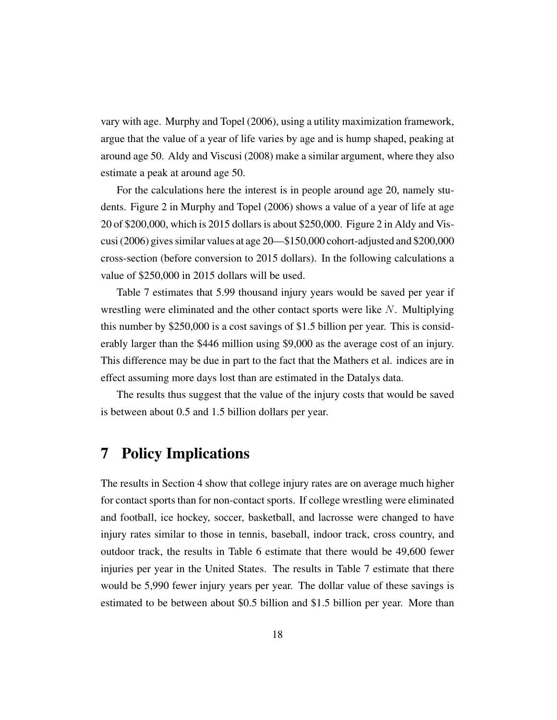vary with age. Murphy and Topel (2006), using a utility maximization framework, argue that the value of a year of life varies by age and is hump shaped, peaking at around age 50. Aldy and Viscusi (2008) make a similar argument, where they also estimate a peak at around age 50.

For the calculations here the interest is in people around age 20, namely students. Figure 2 in Murphy and Topel (2006) shows a value of a year of life at age 20 of \$200,000, which is 2015 dollars is about \$250,000. Figure 2 in Aldy and Viscusi (2006) gives similar values at age 20—\$150,000 cohort-adjusted and \$200,000 cross-section (before conversion to 2015 dollars). In the following calculations a value of \$250,000 in 2015 dollars will be used.

Table 7 estimates that 5.99 thousand injury years would be saved per year if wrestling were eliminated and the other contact sports were like N. Multiplying this number by \$250,000 is a cost savings of \$1.5 billion per year. This is considerably larger than the \$446 million using \$9,000 as the average cost of an injury. This difference may be due in part to the fact that the Mathers et al. indices are in effect assuming more days lost than are estimated in the Datalys data.

The results thus suggest that the value of the injury costs that would be saved is between about 0.5 and 1.5 billion dollars per year.

## 7 Policy Implications

The results in Section 4 show that college injury rates are on average much higher for contact sports than for non-contact sports. If college wrestling were eliminated and football, ice hockey, soccer, basketball, and lacrosse were changed to have injury rates similar to those in tennis, baseball, indoor track, cross country, and outdoor track, the results in Table 6 estimate that there would be 49,600 fewer injuries per year in the United States. The results in Table 7 estimate that there would be 5,990 fewer injury years per year. The dollar value of these savings is estimated to be between about \$0.5 billion and \$1.5 billion per year. More than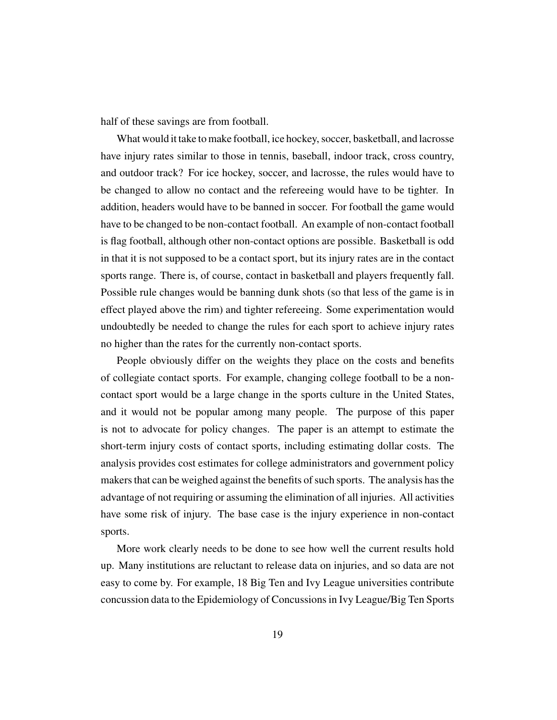half of these savings are from football.

What would it take to make football, ice hockey, soccer, basketball, and lacrosse have injury rates similar to those in tennis, baseball, indoor track, cross country, and outdoor track? For ice hockey, soccer, and lacrosse, the rules would have to be changed to allow no contact and the refereeing would have to be tighter. In addition, headers would have to be banned in soccer. For football the game would have to be changed to be non-contact football. An example of non-contact football is flag football, although other non-contact options are possible. Basketball is odd in that it is not supposed to be a contact sport, but its injury rates are in the contact sports range. There is, of course, contact in basketball and players frequently fall. Possible rule changes would be banning dunk shots (so that less of the game is in effect played above the rim) and tighter refereeing. Some experimentation would undoubtedly be needed to change the rules for each sport to achieve injury rates no higher than the rates for the currently non-contact sports.

People obviously differ on the weights they place on the costs and benefits of collegiate contact sports. For example, changing college football to be a noncontact sport would be a large change in the sports culture in the United States, and it would not be popular among many people. The purpose of this paper is not to advocate for policy changes. The paper is an attempt to estimate the short-term injury costs of contact sports, including estimating dollar costs. The analysis provides cost estimates for college administrators and government policy makers that can be weighed against the benefits of such sports. The analysis has the advantage of not requiring or assuming the elimination of all injuries. All activities have some risk of injury. The base case is the injury experience in non-contact sports.

More work clearly needs to be done to see how well the current results hold up. Many institutions are reluctant to release data on injuries, and so data are not easy to come by. For example, 18 Big Ten and Ivy League universities contribute concussion data to the Epidemiology of Concussions in Ivy League/Big Ten Sports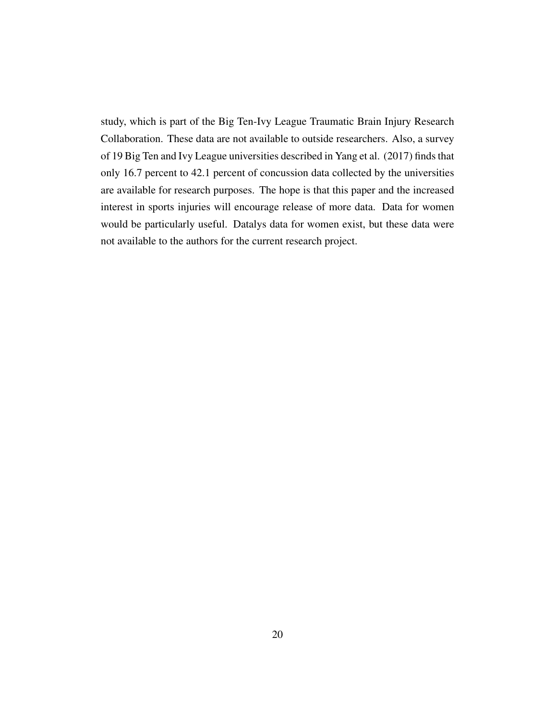study, which is part of the Big Ten-Ivy League Traumatic Brain Injury Research Collaboration. These data are not available to outside researchers. Also, a survey of 19 Big Ten and Ivy League universities described in Yang et al. (2017) finds that only 16.7 percent to 42.1 percent of concussion data collected by the universities are available for research purposes. The hope is that this paper and the increased interest in sports injuries will encourage release of more data. Data for women would be particularly useful. Datalys data for women exist, but these data were not available to the authors for the current research project.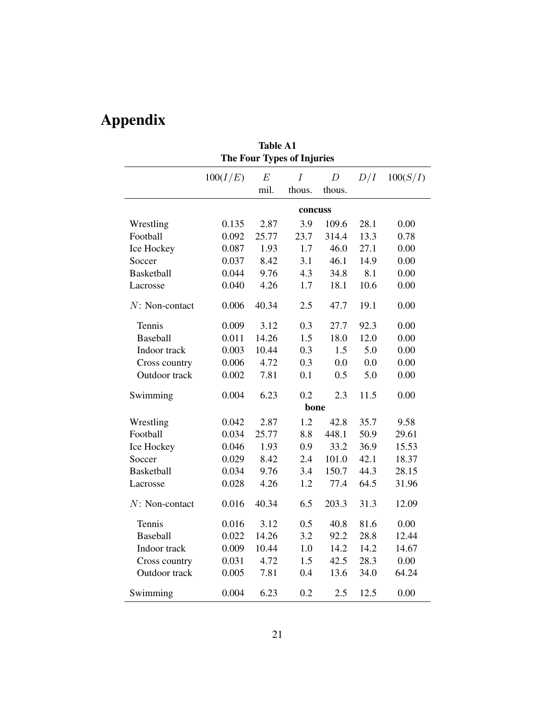# Appendix

|                   |          | <b>Table A1</b>  |                            |        |      |          |
|-------------------|----------|------------------|----------------------------|--------|------|----------|
|                   |          |                  | The Four Types of Injuries |        |      |          |
|                   | 100(I/E) | $\boldsymbol{E}$ | $\boldsymbol{I}$           | D      | D/I  | 100(S/I) |
|                   |          | mil.             | thous.                     | thous. |      |          |
|                   |          |                  | concuss                    |        |      |          |
| Wrestling         | 0.135    | 2.87             | 3.9                        | 109.6  | 28.1 | 0.00     |
| Football          | 0.092    | 25.77            | 23.7                       | 314.4  | 13.3 | 0.78     |
| Ice Hockey        | 0.087    | 1.93             | 1.7                        | 46.0   | 27.1 | 0.00     |
| Soccer            | 0.037    | 8.42             | 3.1                        | 46.1   | 14.9 | 0.00     |
| Basketball        | 0.044    | 9.76             | 4.3                        | 34.8   | 8.1  | 0.00     |
| Lacrosse          | 0.040    | 4.26             | 1.7                        | 18.1   | 10.6 | 0.00     |
| $N: Non-contact$  | 0.006    | 40.34            | 2.5                        | 47.7   | 19.1 | 0.00     |
| Tennis            | 0.009    | 3.12             | 0.3                        | 27.7   | 92.3 | 0.00     |
| <b>Baseball</b>   | 0.011    | 14.26            | 1.5                        | 18.0   | 12.0 | 0.00     |
| Indoor track      | 0.003    | 10.44            | 0.3                        | 1.5    | 5.0  | 0.00     |
| Cross country     | 0.006    | 4.72             | 0.3                        | 0.0    | 0.0  | 0.00     |
| Outdoor track     | 0.002    | 7.81             | 0.1                        | 0.5    | 5.0  | 0.00     |
| Swimming          | 0.004    | 6.23             | 0.2                        | 2.3    | 11.5 | 0.00     |
|                   |          |                  | bone                       |        |      |          |
| Wrestling         | 0.042    | 2.87             | 1.2                        | 42.8   | 35.7 | 9.58     |
| Football          | 0.034    | 25.77            | 8.8                        | 448.1  | 50.9 | 29.61    |
| Ice Hockey        | 0.046    | 1.93             | 0.9                        | 33.2   | 36.9 | 15.53    |
| Soccer            | 0.029    | 8.42             | 2.4                        | 101.0  | 42.1 | 18.37    |
| <b>Basketball</b> | 0.034    | 9.76             | 3.4                        | 150.7  | 44.3 | 28.15    |
| Lacrosse          | 0.028    | 4.26             | 1.2                        | 77.4   | 64.5 | 31.96    |
| $N: Non-contact$  | 0.016    | 40.34            | 6.5                        | 203.3  | 31.3 | 12.09    |
| Tennis            | 0.016    | 3.12             | 0.5                        | 40.8   | 81.6 | 0.00     |
| <b>Baseball</b>   | 0.022    | 14.26            | 3.2                        | 92.2   | 28.8 | 12.44    |
| Indoor track      | 0.009    | 10.44            | 1.0                        | 14.2   | 14.2 | 14.67    |
| Cross country     | 0.031    | 4.72             | 1.5                        | 42.5   | 28.3 | 0.00     |
| Outdoor track     | 0.005    | 7.81             | 0.4                        | 13.6   | 34.0 | 64.24    |
| Swimming          | 0.004    | 6.23             | 0.2                        | 2.5    | 12.5 | 0.00     |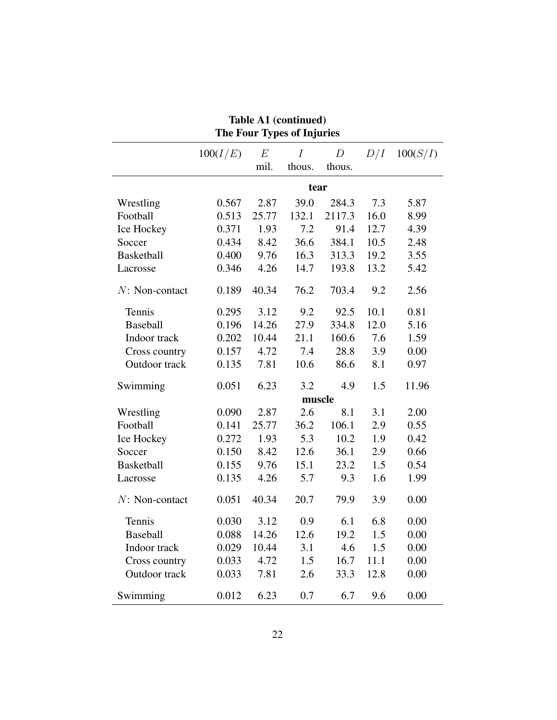| The Four Types of Injuries |          |             |                |                  |      |          |  |
|----------------------------|----------|-------------|----------------|------------------|------|----------|--|
|                            | 100(I/E) | E           | $\overline{I}$ | $\boldsymbol{D}$ | D/I  | 100(S/I) |  |
|                            |          | mil.        | thous.         | thous.           |      |          |  |
|                            |          |             | tear           |                  |      |          |  |
| Wrestling                  | 0.567    | 2.87        | 39.0           | 284.3            | 7.3  | 5.87     |  |
| Football                   | 0.513    | 25.77       | 132.1          | 2117.3           | 16.0 | 8.99     |  |
| Ice Hockey                 | 0.371    | 1.93        | 7.2            | 91.4             | 12.7 | 4.39     |  |
| Soccer                     | 0.434    | 8.42        | 36.6           | 384.1            | 10.5 | 2.48     |  |
| Basketball                 | 0.400    | 9.76        | 16.3           | 313.3            | 19.2 | 3.55     |  |
| Lacrosse                   | 0.346    | 4.26        | 14.7           | 193.8            | 13.2 | 5.42     |  |
| $N: Non-contact$           | 0.189    | 40.34       | 76.2           | 703.4            | 9.2  | 2.56     |  |
| Tennis                     | 0.295    | 3.12        | 9.2            | 92.5             | 10.1 | 0.81     |  |
| <b>Baseball</b>            | 0.196    | 14.26       | 27.9           | 334.8            | 12.0 | 5.16     |  |
| Indoor track               | 0.202    | 10.44       | 21.1           | 160.6            | 7.6  | 1.59     |  |
| Cross country              | 0.157    | 4.72        | 7.4            | 28.8             | 3.9  | 0.00     |  |
| Outdoor track              | 0.135    | 7.81        | 10.6           | 86.6             | 8.1  | 0.97     |  |
| Swimming                   | 0.051    | 6.23        | 3.2            | 4.9              | 1.5  | 11.96    |  |
|                            |          |             | muscle         |                  |      |          |  |
| Wrestling                  | 0.090    | 2.87        | 2.6            | 8.1              | 3.1  | 2.00     |  |
| Football                   | 0.141    | 25.77       | 36.2           | 106.1            | 2.9  | 0.55     |  |
| Ice Hockey                 | 0.272    | 1.93        | 5.3            | 10.2             | 1.9  | 0.42     |  |
| Soccer                     | 0.150    | 8.42        | 12.6           | 36.1             | 2.9  | 0.66     |  |
| Basketball                 | 0.155    | 9.76        | 15.1           | 23.2             | 1.5  | 0.54     |  |
| Lacrosse                   | 0.135    | 4.26        | 5.7            | 9.3              | 1.6  | 1.99     |  |
| $N: Non-contact$           | 0.051    | 40.34       | 20.7           | 79.9             | 3.9  | 0.00     |  |
| Tennis                     | 0.030    | 3.12        | 0.9            | 6.1              | 6.8  | 0.00     |  |
| <b>Baseball</b>            |          | 0.088 14.26 | 12.6           | 19.2             | 1.5  | 0.00     |  |
| Indoor track               | 0.029    | 10.44       | 3.1            | 4.6              | 1.5  | 0.00     |  |
| Cross country              | 0.033    | 4.72        | 1.5            | 16.7             | 11.1 | 0.00     |  |
| Outdoor track              | 0.033    | 7.81        | 2.6            | 33.3             | 12.8 | 0.00     |  |
| Swimming                   | 0.012    | 6.23        | 0.7            | 6.7              | 9.6  | 0.00     |  |

Table A1 (continued)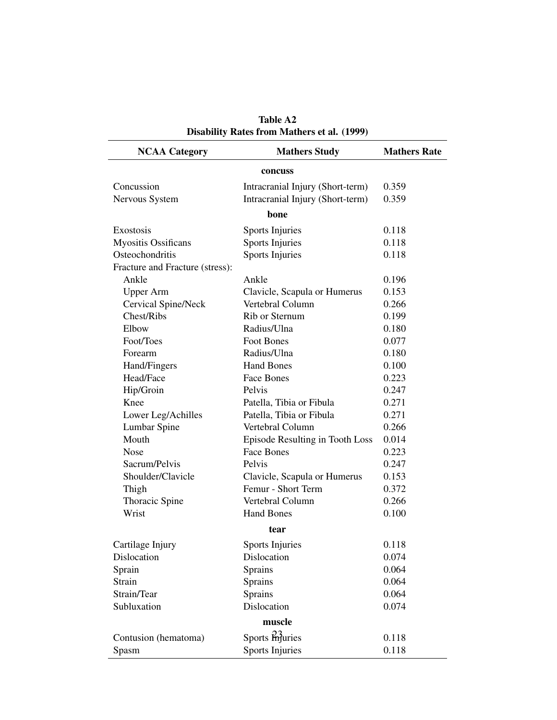| <b>NCAA Category</b>            | <b>Mathers Study</b>             | <b>Mathers Rate</b> |
|---------------------------------|----------------------------------|---------------------|
|                                 | concuss                          |                     |
| Concussion                      | Intracranial Injury (Short-term) | 0.359               |
| Nervous System                  | Intracranial Injury (Short-term) | 0.359               |
|                                 | bone                             |                     |
| Exostosis                       | <b>Sports Injuries</b>           | 0.118               |
| <b>Myositis Ossificans</b>      | <b>Sports Injuries</b>           | 0.118               |
| Osteochondritis                 | <b>Sports Injuries</b>           | 0.118               |
| Fracture and Fracture (stress): |                                  |                     |
| Ankle                           | Ankle                            | 0.196               |
| <b>Upper Arm</b>                | Clavicle, Scapula or Humerus     | 0.153               |
| Cervical Spine/Neck             | Vertebral Column                 | 0.266               |
| Chest/Ribs                      | Rib or Sternum                   | 0.199               |
| Elbow                           | Radius/Ulna                      | 0.180               |
| Foot/Toes                       | Foot Bones                       | 0.077               |
| Forearm                         | Radius/Ulna                      | 0.180               |
| Hand/Fingers                    | <b>Hand Bones</b>                | 0.100               |
| Head/Face                       | Face Bones                       | 0.223               |
| Hip/Groin                       | Pelvis                           | 0.247               |
| Knee                            | Patella, Tibia or Fibula         | 0.271               |
| Lower Leg/Achilles              | Patella, Tibia or Fibula         | 0.271               |
| Lumbar Spine                    | Vertebral Column                 | 0.266               |
| Mouth                           | Episode Resulting in Tooth Loss  | 0.014               |
| <b>Nose</b>                     | <b>Face Bones</b>                | 0.223               |
| Sacrum/Pelvis                   | Pelvis                           | 0.247               |
| Shoulder/Clavicle               | Clavicle, Scapula or Humerus     | 0.153               |
| Thigh                           | Femur - Short Term               | 0.372               |
| Thoracic Spine                  | Vertebral Column                 | 0.266               |
| Wrist                           | <b>Hand Bones</b>                | 0.100               |
|                                 | tear                             |                     |
| Cartilage Injury                | <b>Sports Injuries</b>           | 0.118               |
| Dislocation                     | Dislocation                      | 0.074               |
| Sprain                          | Sprains                          | 0.064               |
| <b>Strain</b>                   | Sprains                          | 0.064               |
| Strain/Tear                     | Sprains                          | 0.064               |
| Subluxation                     | Dislocation                      | 0.074               |
|                                 | muscle                           |                     |
| Contusion (hematoma)            | Sports <i>in</i> Juries          | 0.118               |
| Spasm                           | <b>Sports Injuries</b>           | 0.118               |

Table A2 Disability Rates from Mathers et al. (1999)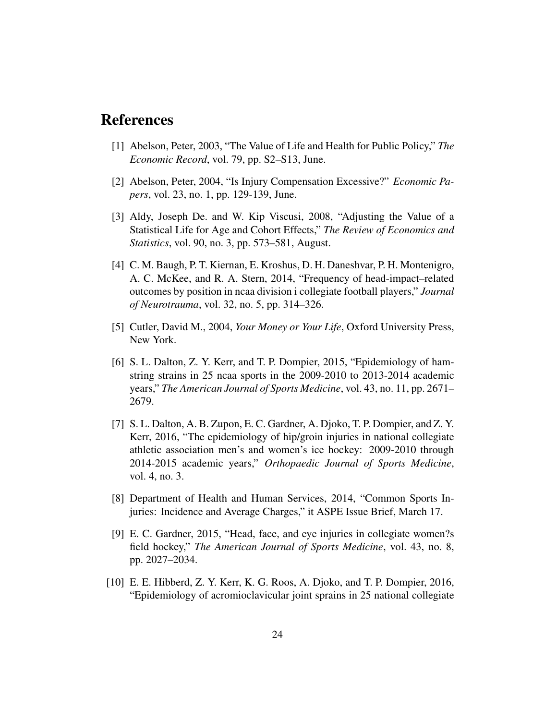## References

- [1] Abelson, Peter, 2003, "The Value of Life and Health for Public Policy," *The Economic Record*, vol. 79, pp. S2–S13, June.
- [2] Abelson, Peter, 2004, "Is Injury Compensation Excessive?" *Economic Papers*, vol. 23, no. 1, pp. 129-139, June.
- [3] Aldy, Joseph De. and W. Kip Viscusi, 2008, "Adjusting the Value of a Statistical Life for Age and Cohort Effects," *The Review of Economics and Statistics*, vol. 90, no. 3, pp. 573–581, August.
- [4] C. M. Baugh, P. T. Kiernan, E. Kroshus, D. H. Daneshvar, P. H. Montenigro, A. C. McKee, and R. A. Stern, 2014, "Frequency of head-impact–related outcomes by position in ncaa division i collegiate football players," *Journal of Neurotrauma*, vol. 32, no. 5, pp. 314–326.
- [5] Cutler, David M., 2004, *Your Money or Your Life*, Oxford University Press, New York.
- [6] S. L. Dalton, Z. Y. Kerr, and T. P. Dompier, 2015, "Epidemiology of hamstring strains in 25 ncaa sports in the 2009-2010 to 2013-2014 academic years," *The American Journal of Sports Medicine*, vol. 43, no. 11, pp. 2671– 2679.
- [7] S. L. Dalton, A. B. Zupon, E. C. Gardner, A. Djoko, T. P. Dompier, and Z. Y. Kerr, 2016, "The epidemiology of hip/groin injuries in national collegiate athletic association men's and women's ice hockey: 2009-2010 through 2014-2015 academic years," *Orthopaedic Journal of Sports Medicine*, vol. 4, no. 3.
- [8] Department of Health and Human Services, 2014, "Common Sports Injuries: Incidence and Average Charges," it ASPE Issue Brief, March 17.
- [9] E. C. Gardner, 2015, "Head, face, and eye injuries in collegiate women?s field hockey," *The American Journal of Sports Medicine*, vol. 43, no. 8, pp. 2027–2034.
- [10] E. E. Hibberd, Z. Y. Kerr, K. G. Roos, A. Djoko, and T. P. Dompier, 2016, "Epidemiology of acromioclavicular joint sprains in 25 national collegiate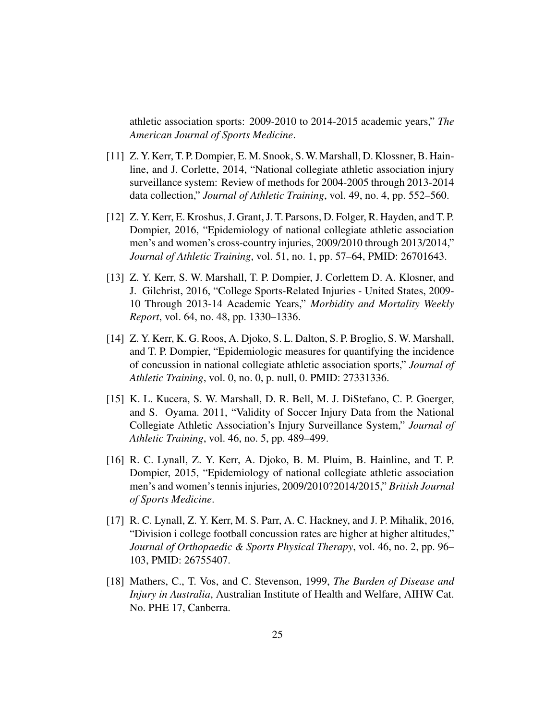athletic association sports: 2009-2010 to 2014-2015 academic years," *The American Journal of Sports Medicine*.

- [11] Z. Y. Kerr, T. P. Dompier, E. M. Snook, S.W. Marshall, D. Klossner, B. Hainline, and J. Corlette, 2014, "National collegiate athletic association injury surveillance system: Review of methods for 2004-2005 through 2013-2014 data collection," *Journal of Athletic Training*, vol. 49, no. 4, pp. 552–560.
- [12] Z. Y. Kerr, E. Kroshus, J. Grant, J. T. Parsons, D. Folger, R. Hayden, and T. P. Dompier, 2016, "Epidemiology of national collegiate athletic association men's and women's cross-country injuries, 2009/2010 through 2013/2014," *Journal of Athletic Training*, vol. 51, no. 1, pp. 57–64, PMID: 26701643.
- [13] Z. Y. Kerr, S. W. Marshall, T. P. Dompier, J. Corlettem D. A. Klosner, and J. Gilchrist, 2016, "College Sports-Related Injuries - United States, 2009- 10 Through 2013-14 Academic Years," *Morbidity and Mortality Weekly Report*, vol. 64, no. 48, pp. 1330–1336.
- [14] Z. Y. Kerr, K. G. Roos, A. Djoko, S. L. Dalton, S. P. Broglio, S. W. Marshall, and T. P. Dompier, "Epidemiologic measures for quantifying the incidence of concussion in national collegiate athletic association sports," *Journal of Athletic Training*, vol. 0, no. 0, p. null, 0. PMID: 27331336.
- [15] K. L. Kucera, S. W. Marshall, D. R. Bell, M. J. DiStefano, C. P. Goerger, and S. Oyama. 2011, "Validity of Soccer Injury Data from the National Collegiate Athletic Association's Injury Surveillance System," *Journal of Athletic Training*, vol. 46, no. 5, pp. 489–499.
- [16] R. C. Lynall, Z. Y. Kerr, A. Djoko, B. M. Pluim, B. Hainline, and T. P. Dompier, 2015, "Epidemiology of national collegiate athletic association men's and women's tennis injuries, 2009/2010?2014/2015," *British Journal of Sports Medicine*.
- [17] R. C. Lynall, Z. Y. Kerr, M. S. Parr, A. C. Hackney, and J. P. Mihalik, 2016, "Division i college football concussion rates are higher at higher altitudes," *Journal of Orthopaedic & Sports Physical Therapy*, vol. 46, no. 2, pp. 96– 103, PMID: 26755407.
- [18] Mathers, C., T. Vos, and C. Stevenson, 1999, *The Burden of Disease and Injury in Australia*, Australian Institute of Health and Welfare, AIHW Cat. No. PHE 17, Canberra.